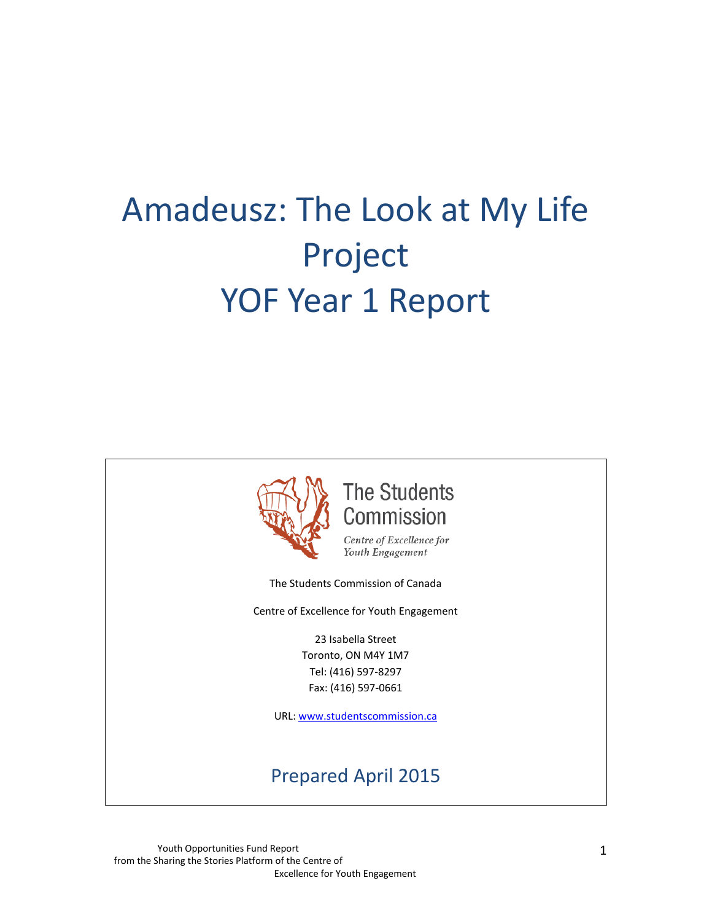# Amadeusz: The Look at My Life Project YOF Year 1 Report



**The Students** Commission

Centre of Excellence for Youth Engagement

The Students Commission of Canada

Centre of Excellence for Youth Engagement

23 Isabella Street Toronto, ON M4Y 1M7 Tel: (416) 597-8297 Fax: (416) 597-0661

URL: [www.studentscommission.ca](http://www.studentscommission.ca/)

# Prepared April 2015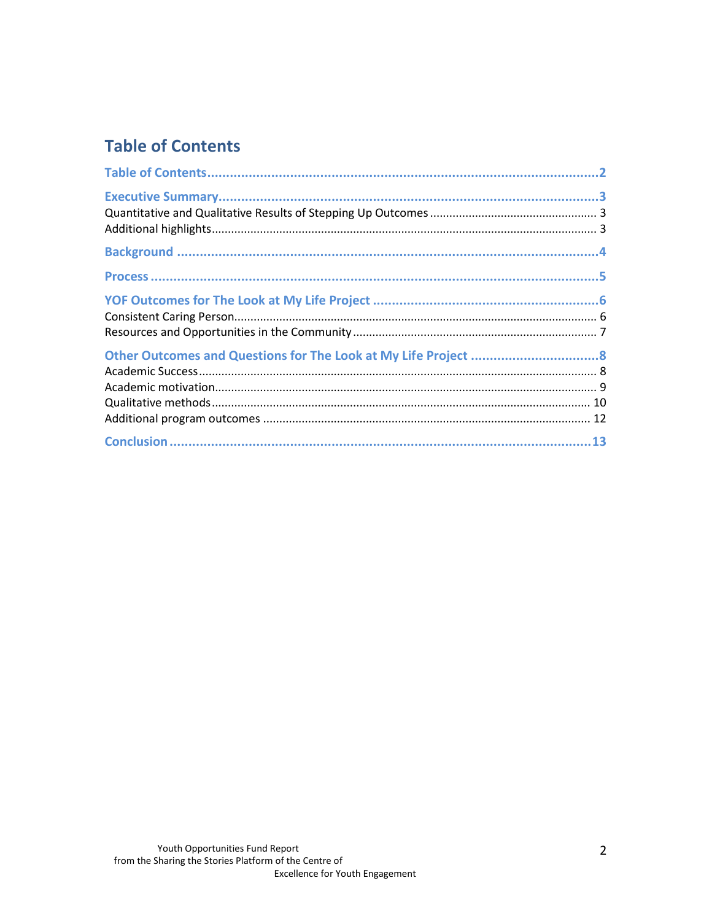# **Table of Contents**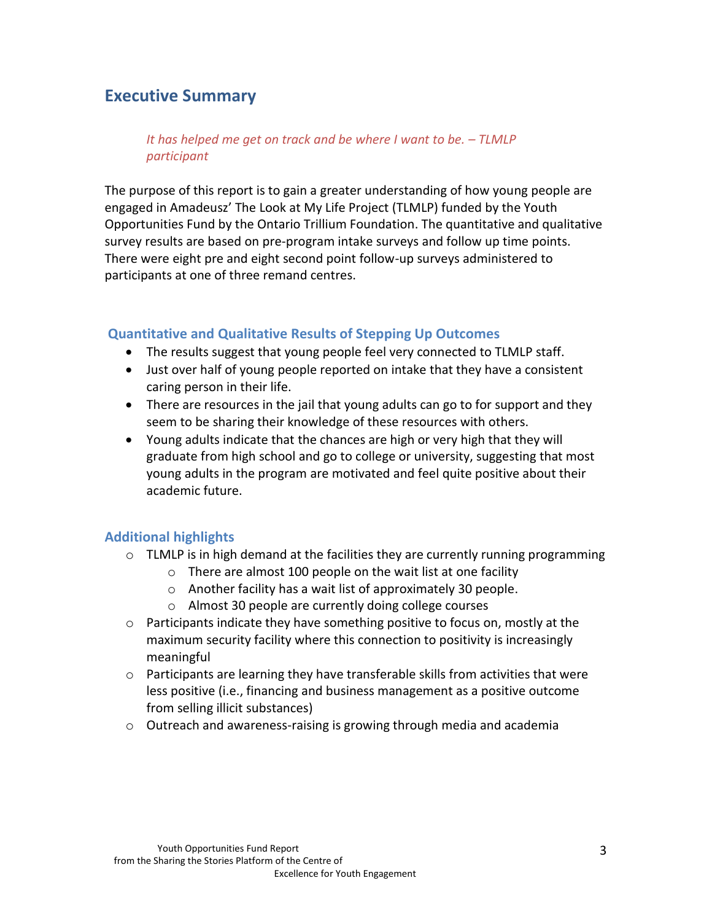## **Executive Summary**

*It has helped me get on track and be where I want to be. – TLMLP participant*

The purpose of this report is to gain a greater understanding of how young people are engaged in Amadeusz' The Look at My Life Project (TLMLP) funded by the Youth Opportunities Fund by the Ontario Trillium Foundation. The quantitative and qualitative survey results are based on pre-program intake surveys and follow up time points. There were eight pre and eight second point follow-up surveys administered to participants at one of three remand centres.

#### **Quantitative and Qualitative Results of Stepping Up Outcomes**

- The results suggest that young people feel very connected to TLMLP staff.
- Just over half of young people reported on intake that they have a consistent caring person in their life.
- There are resources in the jail that young adults can go to for support and they seem to be sharing their knowledge of these resources with others.
- Young adults indicate that the chances are high or very high that they will graduate from high school and go to college or university, suggesting that most young adults in the program are motivated and feel quite positive about their academic future.

#### **Additional highlights**

- $\circ$  TLMLP is in high demand at the facilities they are currently running programming
	- o There are almost 100 people on the wait list at one facility
	- o Another facility has a wait list of approximately 30 people.
	- o Almost 30 people are currently doing college courses
- $\circ$  Participants indicate they have something positive to focus on, mostly at the maximum security facility where this connection to positivity is increasingly meaningful
- $\circ$  Participants are learning they have transferable skills from activities that were less positive (i.e., financing and business management as a positive outcome from selling illicit substances)
- o Outreach and awareness-raising is growing through media and academia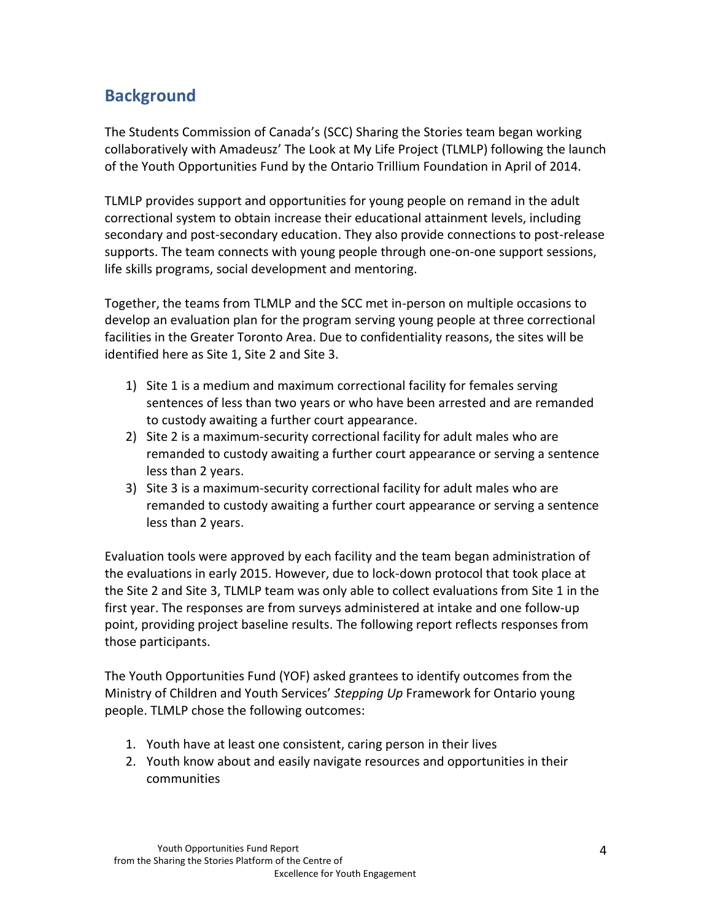# **Background**

The Students Commission of Canada's (SCC) Sharing the Stories team began working collaboratively with Amadeusz' The Look at My Life Project (TLMLP) following the launch of the Youth Opportunities Fund by the Ontario Trillium Foundation in April of 2014.

TLMLP provides support and opportunities for young people on remand in the adult correctional system to obtain increase their educational attainment levels, including secondary and post-secondary education. They also provide connections to post-release supports. The team connects with young people through one-on-one support sessions, life skills programs, social development and mentoring.

Together, the teams from TLMLP and the SCC met in-person on multiple occasions to develop an evaluation plan for the program serving young people at three correctional facilities in the Greater Toronto Area. Due to confidentiality reasons, the sites will be identified here as Site 1, Site 2 and Site 3.

- 1) Site 1 is a medium and maximum correctional facility for females serving sentences of less than two years or who have been arrested and are remanded to custody awaiting a further court appearance.
- 2) Site 2 is a maximum-security correctional facility for adult males who are remanded to custody awaiting a further court appearance or serving a sentence less than 2 years.
- 3) Site 3 is a maximum-security correctional facility for adult males who are remanded to custody awaiting a further court appearance or serving a sentence less than 2 years.

Evaluation tools were approved by each facility and the team began administration of the evaluations in early 2015. However, due to lock-down protocol that took place at the Site 2 and Site 3, TLMLP team was only able to collect evaluations from Site 1 in the first year. The responses are from surveys administered at intake and one follow-up point, providing project baseline results. The following report reflects responses from those participants.

The Youth Opportunities Fund (YOF) asked grantees to identify outcomes from the Ministry of Children and Youth Services' *Stepping Up* Framework for Ontario young people. TLMLP chose the following outcomes:

- 1. Youth have at least one consistent, caring person in their lives
- 2. Youth know about and easily navigate resources and opportunities in their communities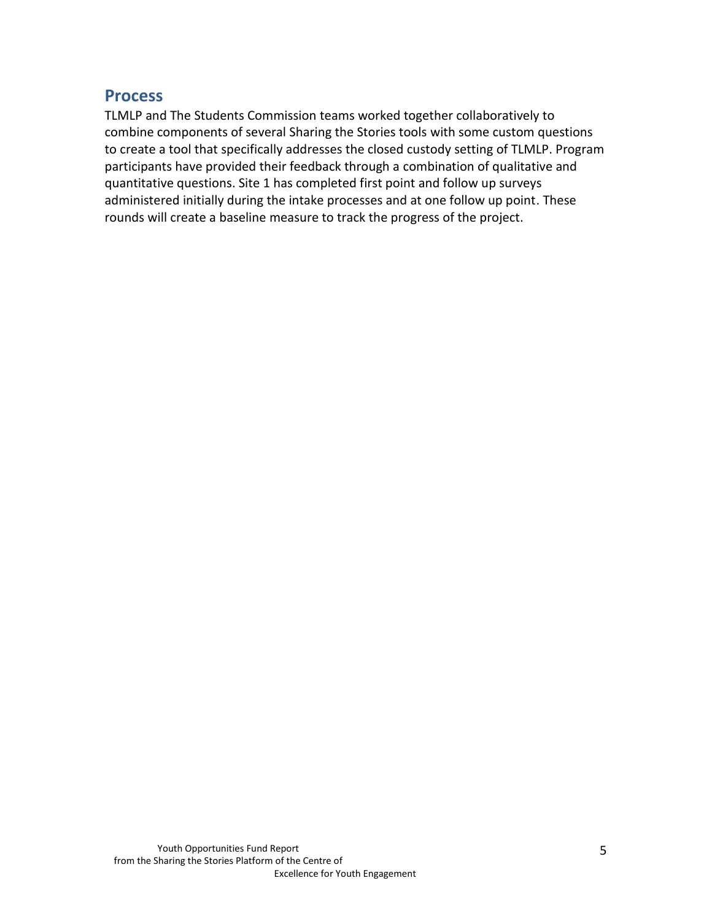### **Process**

TLMLP and The Students Commission teams worked together collaboratively to combine components of several Sharing the Stories tools with some custom questions to create a tool that specifically addresses the closed custody setting of TLMLP. Program participants have provided their feedback through a combination of qualitative and quantitative questions. Site 1 has completed first point and follow up surveys administered initially during the intake processes and at one follow up point. These rounds will create a baseline measure to track the progress of the project.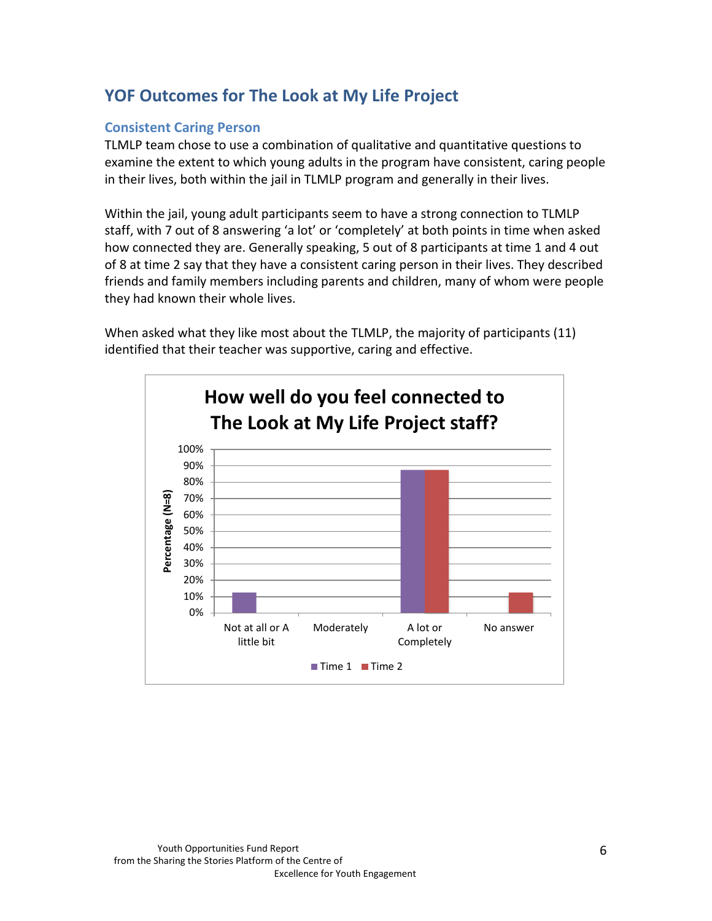## **YOF Outcomes for The Look at My Life Project**

#### **Consistent Caring Person**

TLMLP team chose to use a combination of qualitative and quantitative questions to examine the extent to which young adults in the program have consistent, caring people in their lives, both within the jail in TLMLP program and generally in their lives.

Within the jail, young adult participants seem to have a strong connection to TLMLP staff, with 7 out of 8 answering 'a lot' or 'completely' at both points in time when asked how connected they are. Generally speaking, 5 out of 8 participants at time 1 and 4 out of 8 at time 2 say that they have a consistent caring person in their lives. They described friends and family members including parents and children, many of whom were people they had known their whole lives.

When asked what they like most about the TLMLP, the majority of participants (11) identified that their teacher was supportive, caring and effective.

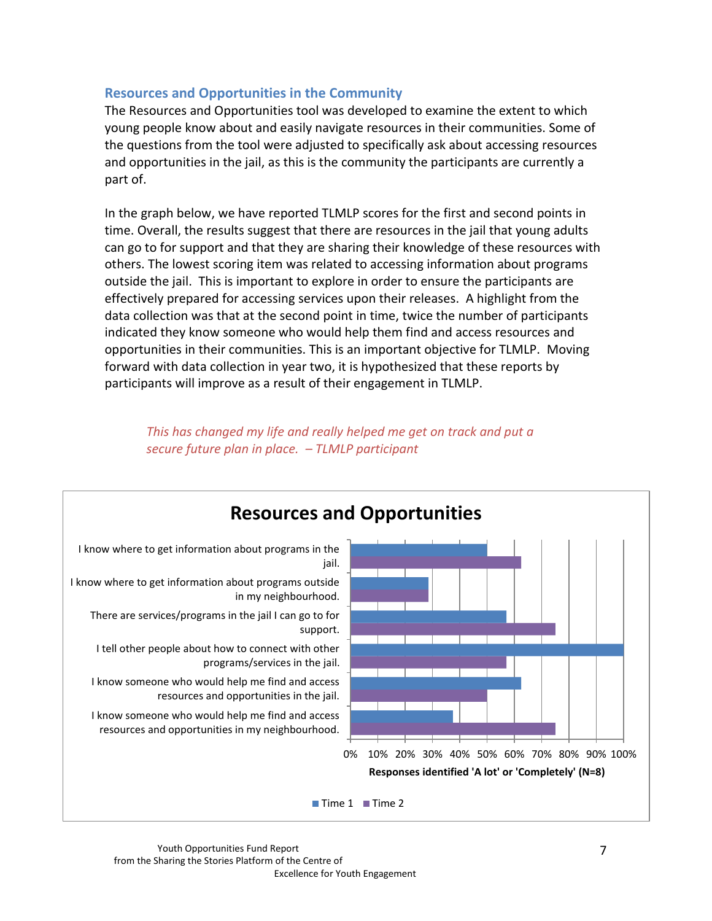#### **Resources and Opportunities in the Community**

The Resources and Opportunities tool was developed to examine the extent to which young people know about and easily navigate resources in their communities. Some of the questions from the tool were adjusted to specifically ask about accessing resources and opportunities in the jail, as this is the community the participants are currently a part of.

In the graph below, we have reported TLMLP scores for the first and second points in time. Overall, the results suggest that there are resources in the jail that young adults can go to for support and that they are sharing their knowledge of these resources with others. The lowest scoring item was related to accessing information about programs outside the jail. This is important to explore in order to ensure the participants are effectively prepared for accessing services upon their releases. A highlight from the data collection was that at the second point in time, twice the number of participants indicated they know someone who would help them find and access resources and opportunities in their communities. This is an important objective for TLMLP. Moving forward with data collection in year two, it is hypothesized that these reports by participants will improve as a result of their engagement in TLMLP.

#### *This has changed my life and really helped me get on track and put a secure future plan in place. – TLMLP participant*

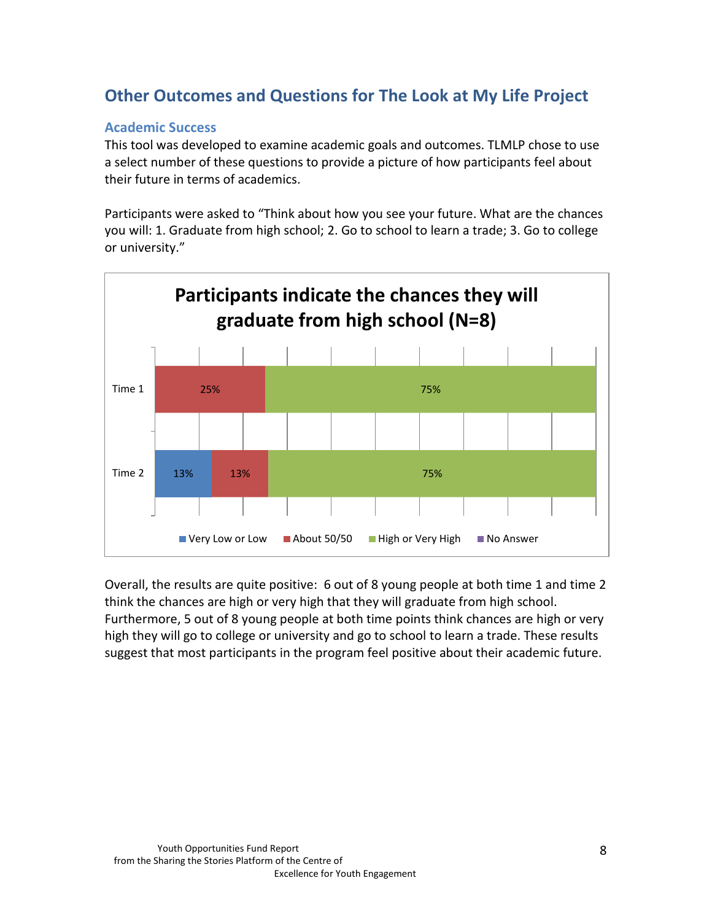## **Other Outcomes and Questions for The Look at My Life Project**

#### **Academic Success**

This tool was developed to examine academic goals and outcomes. TLMLP chose to use a select number of these questions to provide a picture of how participants feel about their future in terms of academics.

Participants were asked to "Think about how you see your future. What are the chances you will: 1. Graduate from high school; 2. Go to school to learn a trade; 3. Go to college or university."



Overall, the results are quite positive: 6 out of 8 young people at both time 1 and time 2 think the chances are high or very high that they will graduate from high school. Furthermore, 5 out of 8 young people at both time points think chances are high or very high they will go to college or university and go to school to learn a trade. These results suggest that most participants in the program feel positive about their academic future.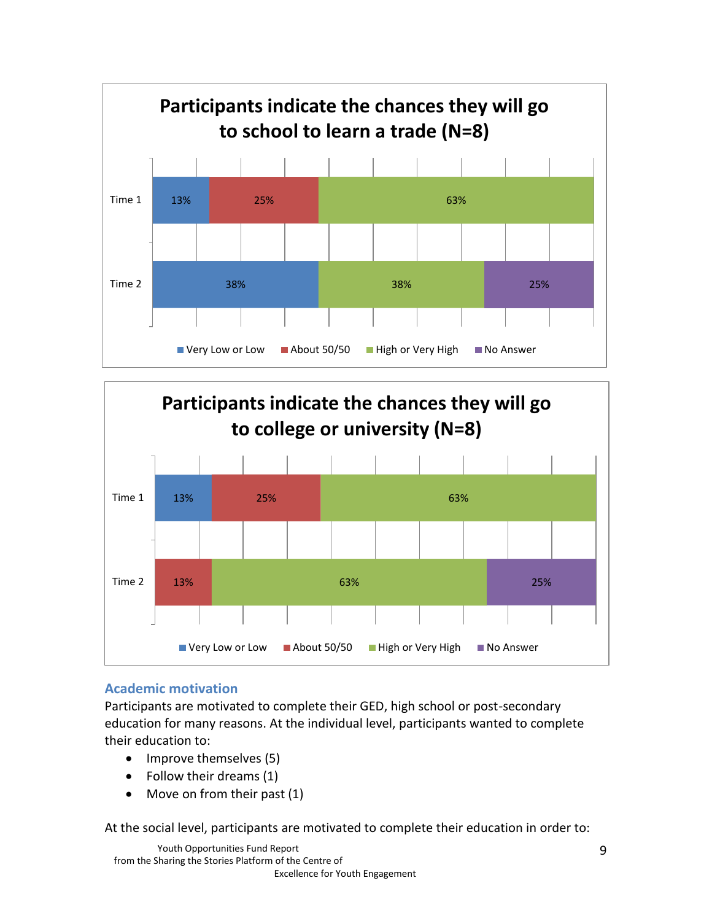



#### **Academic motivation**

Participants are motivated to complete their GED, high school or post-secondary education for many reasons. At the individual level, participants wanted to complete their education to:

- Improve themselves (5)
- Follow their dreams (1)
- Move on from their past (1)

At the social level, participants are motivated to complete their education in order to: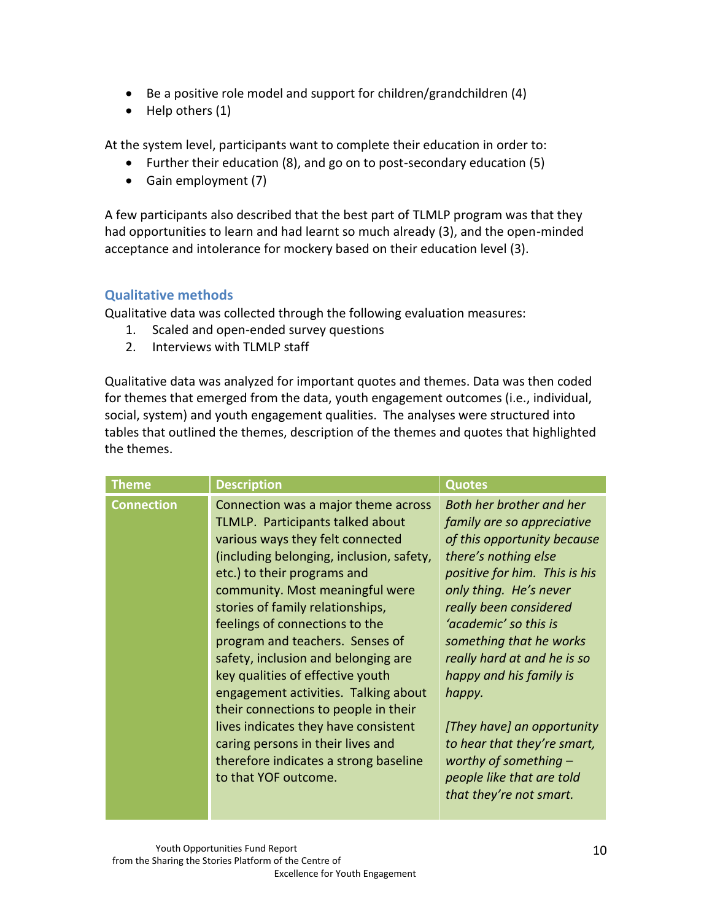- Be a positive role model and support for children/grandchildren (4)
- Help others (1)

At the system level, participants want to complete their education in order to:

- Further their education (8), and go on to post-secondary education (5)
- Gain employment (7)

A few participants also described that the best part of TLMLP program was that they had opportunities to learn and had learnt so much already (3), and the open-minded acceptance and intolerance for mockery based on their education level (3).

#### **Qualitative methods**

Qualitative data was collected through the following evaluation measures:

- 1. Scaled and open-ended survey questions
- 2. Interviews with TLMLP staff

Qualitative data was analyzed for important quotes and themes. Data was then coded for themes that emerged from the data, youth engagement outcomes (i.e., individual, social, system) and youth engagement qualities. The analyses were structured into tables that outlined the themes, description of the themes and quotes that highlighted the themes.

| <b>Theme</b>      | <b>Description</b>                                                                                                                                                                                                                                                                                                                                                                                                                                                                                                                                                                                                                          | <b>Quotes</b>                                                                                                                                                                                                                                                                                                                                                                                                                                                              |
|-------------------|---------------------------------------------------------------------------------------------------------------------------------------------------------------------------------------------------------------------------------------------------------------------------------------------------------------------------------------------------------------------------------------------------------------------------------------------------------------------------------------------------------------------------------------------------------------------------------------------------------------------------------------------|----------------------------------------------------------------------------------------------------------------------------------------------------------------------------------------------------------------------------------------------------------------------------------------------------------------------------------------------------------------------------------------------------------------------------------------------------------------------------|
| <b>Connection</b> | Connection was a major theme across<br>TLMLP. Participants talked about<br>various ways they felt connected<br>(including belonging, inclusion, safety,<br>etc.) to their programs and<br>community. Most meaningful were<br>stories of family relationships,<br>feelings of connections to the<br>program and teachers. Senses of<br>safety, inclusion and belonging are<br>key qualities of effective youth<br>engagement activities. Talking about<br>their connections to people in their<br>lives indicates they have consistent<br>caring persons in their lives and<br>therefore indicates a strong baseline<br>to that YOF outcome. | Both her brother and her<br>family are so appreciative<br>of this opportunity because<br>there's nothing else<br>positive for him. This is his<br>only thing. He's never<br>really been considered<br>'academic' so this is<br>something that he works<br>really hard at and he is so<br>happy and his family is<br>happy.<br>[They have] an opportunity<br>to hear that they're smart,<br>worthy of something $-$<br>people like that are told<br>that they're not smart. |
|                   |                                                                                                                                                                                                                                                                                                                                                                                                                                                                                                                                                                                                                                             |                                                                                                                                                                                                                                                                                                                                                                                                                                                                            |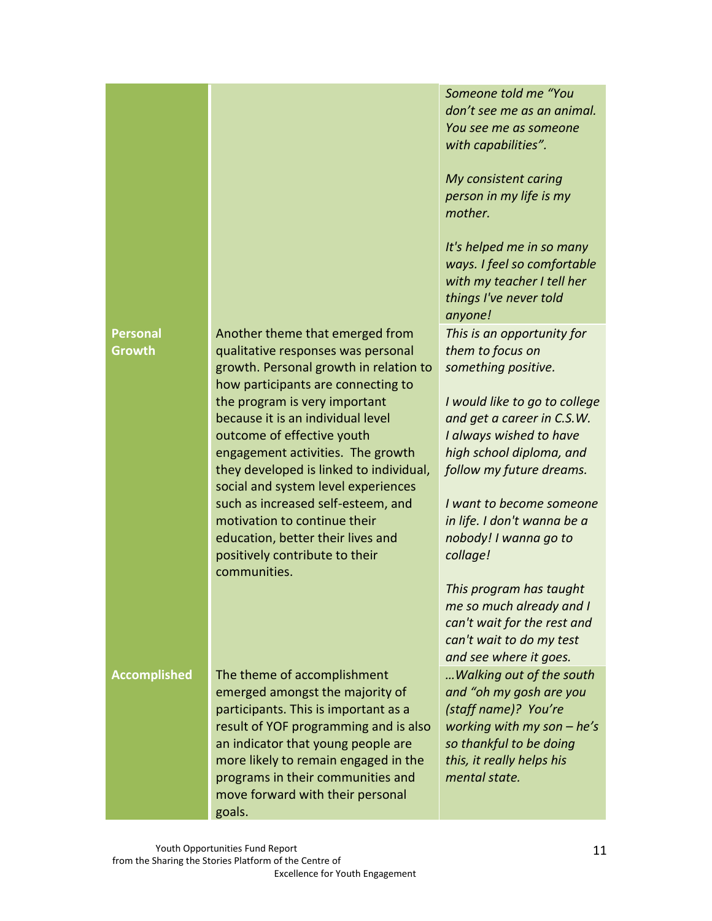## *anyone!* **Personal Growth** Another theme that emerged from qualitative responses was personal growth. Personal growth in relation to how participants are connecting to the program is very important because it is an individual level outcome of effective youth engagement activities. The growth they developed is linked to individual, social and system level experiences such as increased self-esteem, and motivation to continue their education, better their lives and positively contribute to their communities. *collage!* **Accomplished** The theme of accomplishment emerged amongst the majority of participants. This is important as a result of YOF programming and is also an indicator that young people are more likely to remain engaged in the programs in their communities and move forward with their personal goals. *mental state.*

11

*Someone told me "You don't see me as an animal. You see me as someone with capabilities".*

*My consistent caring person in my life is my mother.*

*It's helped me in so many ways. I feel so comfortable with my teacher I tell her things I've never told* 

*This is an opportunity for them to focus on something positive.*

*I would like to go to college and get a career in C.S.W. I always wished to have high school diploma, and follow my future dreams.*

*I want to become someone in life. I don't wanna be a nobody! I wanna go to* 

*This program has taught me so much already and I can't wait for the rest and can't wait to do my test and see where it goes. …Walking out of the south and "oh my gosh are you (staff name)? You're working with my son – he's so thankful to be doing this, it really helps his*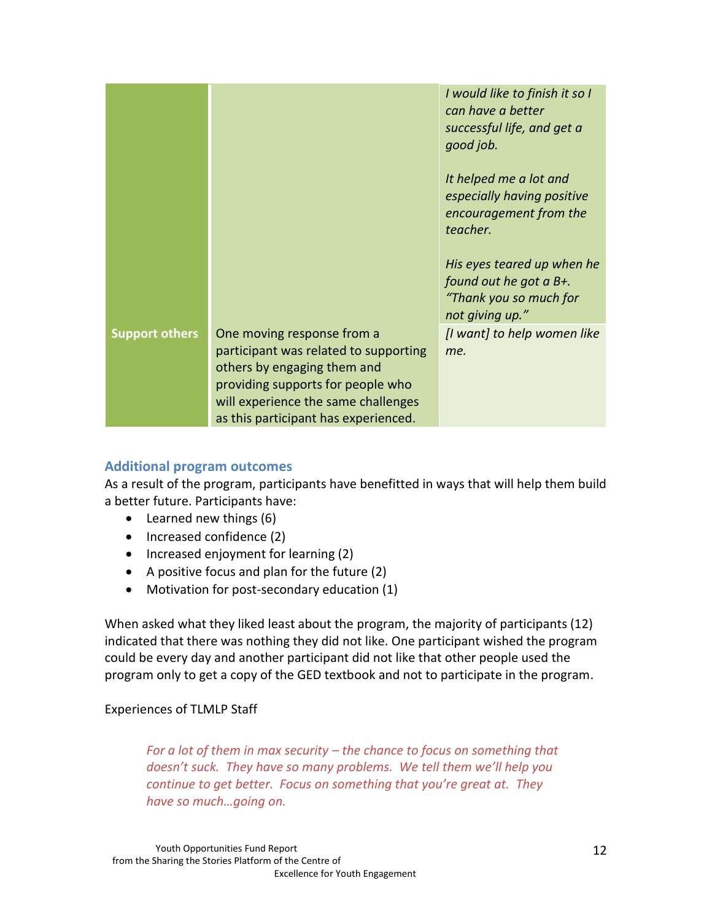|                       |                                                                                                                                                                                                                        | I would like to finish it so I<br>can have a better<br>successful life, and get a<br>good job.    |
|-----------------------|------------------------------------------------------------------------------------------------------------------------------------------------------------------------------------------------------------------------|---------------------------------------------------------------------------------------------------|
|                       |                                                                                                                                                                                                                        | It helped me a lot and<br>especially having positive<br>encouragement from the<br>teacher.        |
|                       |                                                                                                                                                                                                                        | His eyes teared up when he<br>found out he got a B+.<br>"Thank you so much for<br>not giving up." |
| <b>Support others</b> | One moving response from a<br>participant was related to supporting<br>others by engaging them and<br>providing supports for people who<br>will experience the same challenges<br>as this participant has experienced. | [I want] to help women like<br>me.                                                                |

#### **Additional program outcomes**

As a result of the program, participants have benefitted in ways that will help them build a better future. Participants have:

- Learned new things (6)
- Increased confidence (2)
- Increased enjoyment for learning (2)
- A positive focus and plan for the future (2)
- Motivation for post-secondary education (1)

When asked what they liked least about the program, the majority of participants (12) indicated that there was nothing they did not like. One participant wished the program could be every day and another participant did not like that other people used the program only to get a copy of the GED textbook and not to participate in the program.

#### Experiences of TLMLP Staff

*For a lot of them in max security – the chance to focus on something that doesn't suck. They have so many problems. We tell them we'll help you continue to get better. Focus on something that you're great at. They have so much…going on.*